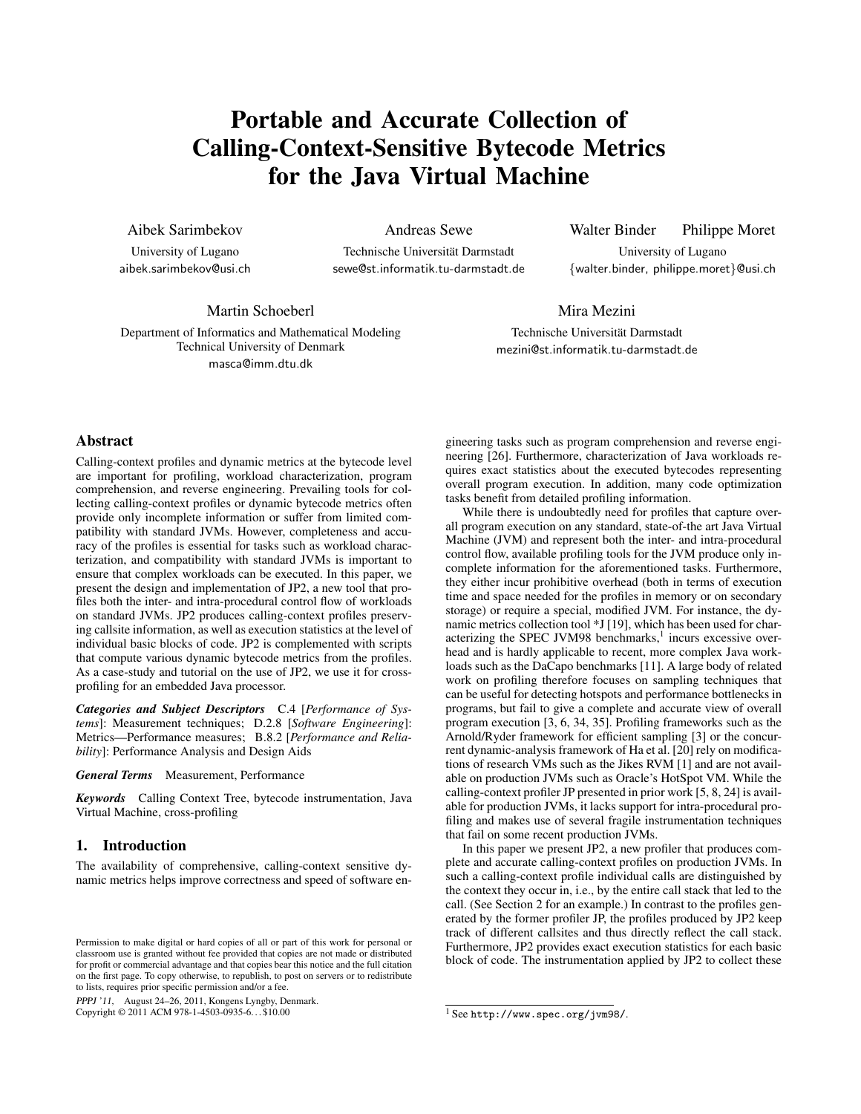# Portable and Accurate Collection of Calling-Context-Sensitive Bytecode Metrics for the Java Virtual Machine

Aibek Sarimbekov

University of Lugano aibek.sarimbekov@usi.ch Andreas Sewe

Technische Universität Darmstadt sewe@st.informatik.tu-darmstadt.de Walter Binder Philippe Moret

University of Lugano {walter.binder, philippe.moret}@usi.ch

Martin Schoeberl

Department of Informatics and Mathematical Modeling Technical University of Denmark masca@imm.dtu.dk

# Mira Mezini

Technische Universität Darmstadt mezini@st.informatik.tu-darmstadt.de

# Abstract

Calling-context profiles and dynamic metrics at the bytecode level are important for profiling, workload characterization, program comprehension, and reverse engineering. Prevailing tools for collecting calling-context profiles or dynamic bytecode metrics often provide only incomplete information or suffer from limited compatibility with standard JVMs. However, completeness and accuracy of the profiles is essential for tasks such as workload characterization, and compatibility with standard JVMs is important to ensure that complex workloads can be executed. In this paper, we present the design and implementation of JP2, a new tool that profiles both the inter- and intra-procedural control flow of workloads on standard JVMs. JP2 produces calling-context profiles preserving callsite information, as well as execution statistics at the level of individual basic blocks of code. JP2 is complemented with scripts that compute various dynamic bytecode metrics from the profiles. As a case-study and tutorial on the use of JP2, we use it for crossprofiling for an embedded Java processor.

*Categories and Subject Descriptors* C.4 [*Performance of Systems*]: Measurement techniques; D.2.8 [*Software Engineering*]: Metrics—Performance measures; B.8.2 [*Performance and Reliability*]: Performance Analysis and Design Aids

*General Terms* Measurement, Performance

*Keywords* Calling Context Tree, bytecode instrumentation, Java Virtual Machine, cross-profiling

# 1. Introduction

The availability of comprehensive, calling-context sensitive dynamic metrics helps improve correctness and speed of software en-

PPPJ '11, August 24–26, 2011, Kongens Lyngby, Denmark. Copyright © 2011 ACM 978-1-4503-0935-6. . . \$10.00

gineering tasks such as program comprehension and reverse engineering [\[26\]](#page-9-0). Furthermore, characterization of Java workloads requires exact statistics about the executed bytecodes representing overall program execution. In addition, many code optimization tasks benefit from detailed profiling information.

While there is undoubtedly need for profiles that capture overall program execution on any standard, state-of-the art Java Virtual Machine (JVM) and represent both the inter- and intra-procedural control flow, available profiling tools for the JVM produce only incomplete information for the aforementioned tasks. Furthermore, they either incur prohibitive overhead (both in terms of execution time and space needed for the profiles in memory or on secondary storage) or require a special, modified JVM. For instance, the dynamic metrics collection tool \*J [\[19\]](#page-9-1), which has been used for characterizing the SPEC JVM98 benchmarks,<sup>1</sup> incurs excessive overhead and is hardly applicable to recent, more complex Java workloads such as the DaCapo benchmarks [\[11\]](#page-9-2). A large body of related work on profiling therefore focuses on sampling techniques that can be useful for detecting hotspots and performance bottlenecks in programs, but fail to give a complete and accurate view of overall program execution [\[3,](#page-9-3) [6,](#page-9-4) [34,](#page-9-5) [35\]](#page-9-6). Profiling frameworks such as the Arnold/Ryder framework for efficient sampling [\[3\]](#page-9-3) or the concurrent dynamic-analysis framework of Ha et al. [\[20\]](#page-9-7) rely on modifications of research VMs such as the Jikes RVM [\[1\]](#page-9-8) and are not available on production JVMs such as Oracle's HotSpot VM. While the calling-context profiler JP presented in prior work [\[5,](#page-9-9) [8,](#page-9-10) [24\]](#page-9-11) is available for production JVMs, it lacks support for intra-procedural profiling and makes use of several fragile instrumentation techniques that fail on some recent production JVMs.

In this paper we present JP2, a new profiler that produces complete and accurate calling-context profiles on production JVMs. In such a calling-context profile individual calls are distinguished by the context they occur in, i.e., by the entire call stack that led to the call. (See Section 2 for an example.) In contrast to the profiles generated by the former profiler JP, the profiles produced by JP2 keep track of different callsites and thus directly reflect the call stack. Furthermore, JP2 provides exact execution statistics for each basic block of code. The instrumentation applied by JP2 to collect these

Permission to make digital or hard copies of all or part of this work for personal or classroom use is granted without fee provided that copies are not made or distributed for profit or commercial advantage and that copies bear this notice and the full citation on the first page. To copy otherwise, to republish, to post on servers or to redistribute to lists, requires prior specific permission and/or a fee.

<sup>1</sup> See <http://www.spec.org/jvm98/>.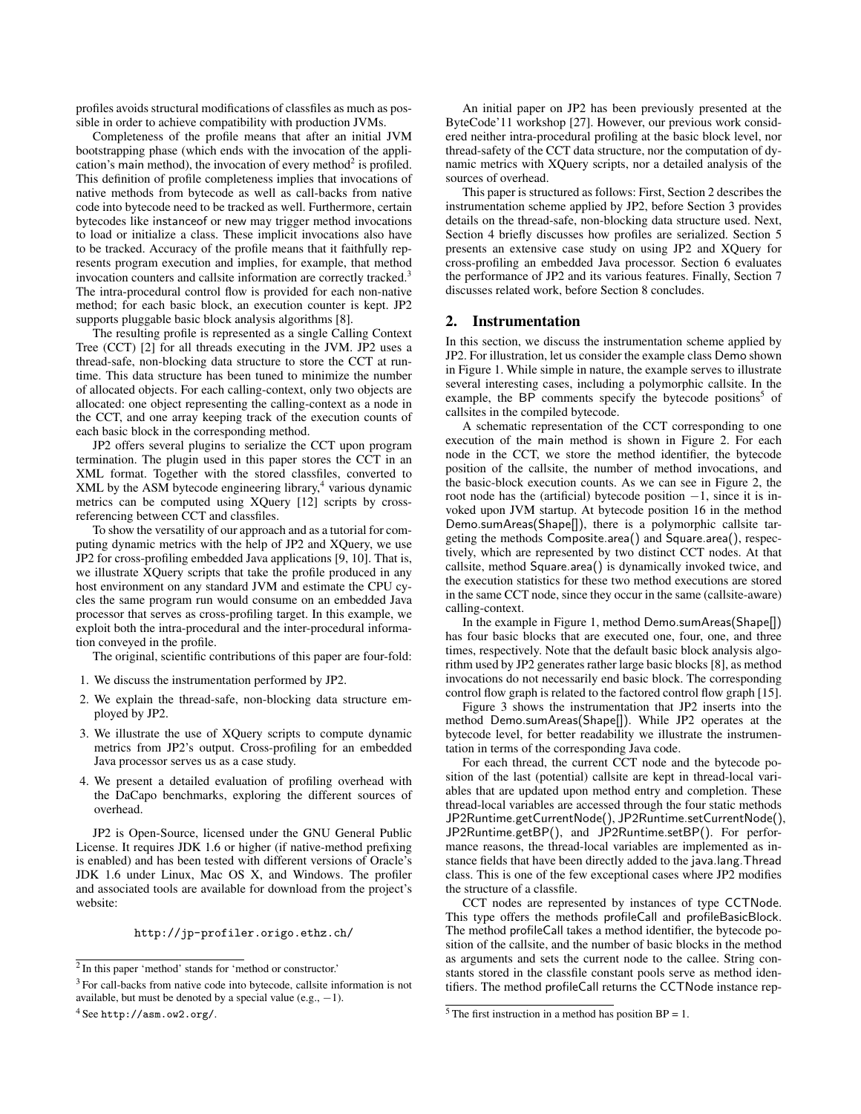profiles avoids structural modifications of classfiles as much as possible in order to achieve compatibility with production JVMs.

Completeness of the profile means that after an initial JVM bootstrapping phase (which ends with the invocation of the application's main method), the invocation of every method<sup>2</sup> is profiled. This definition of profile completeness implies that invocations of native methods from bytecode as well as call-backs from native code into bytecode need to be tracked as well. Furthermore, certain bytecodes like instanceof or new may trigger method invocations to load or initialize a class. These implicit invocations also have to be tracked. Accuracy of the profile means that it faithfully represents program execution and implies, for example, that method invocation counters and callsite information are correctly tracked.<sup>3</sup> The intra-procedural control flow is provided for each non-native method; for each basic block, an execution counter is kept. JP2 supports pluggable basic block analysis algorithms [\[8\]](#page-9-10).

The resulting profile is represented as a single Calling Context Tree (CCT) [\[2\]](#page-9-12) for all threads executing in the JVM. JP2 uses a thread-safe, non-blocking data structure to store the CCT at runtime. This data structure has been tuned to minimize the number of allocated objects. For each calling-context, only two objects are allocated: one object representing the calling-context as a node in the CCT, and one array keeping track of the execution counts of each basic block in the corresponding method.

JP2 offers several plugins to serialize the CCT upon program termination. The plugin used in this paper stores the CCT in an XML format. Together with the stored classfiles, converted to XML by the ASM bytecode engineering library,<sup>4</sup> various dynamic metrics can be computed using XQuery [\[12\]](#page-9-13) scripts by crossreferencing between CCT and classfiles.

To show the versatility of our approach and as a tutorial for computing dynamic metrics with the help of JP2 and XQuery, we use JP2 for cross-profiling embedded Java applications [\[9,](#page-9-14) [10\]](#page-9-15). That is, we illustrate XQuery scripts that take the profile produced in any host environment on any standard JVM and estimate the CPU cycles the same program run would consume on an embedded Java processor that serves as cross-profiling target. In this example, we exploit both the intra-procedural and the inter-procedural information conveyed in the profile.

The original, scientific contributions of this paper are four-fold:

- 1. We discuss the instrumentation performed by JP2.
- 2. We explain the thread-safe, non-blocking data structure employed by JP2.
- 3. We illustrate the use of XQuery scripts to compute dynamic metrics from JP2's output. Cross-profiling for an embedded Java processor serves us as a case study.
- 4. We present a detailed evaluation of profiling overhead with the DaCapo benchmarks, exploring the different sources of overhead.

JP2 is Open-Source, licensed under the GNU General Public License. It requires JDK 1.6 or higher (if native-method prefixing is enabled) and has been tested with different versions of Oracle's JDK 1.6 under Linux, Mac OS X, and Windows. The profiler and associated tools are available for download from the project's website:

#### <http://jp-profiler.origo.ethz.ch/>

An initial paper on JP2 has been previously presented at the ByteCode'11 workshop [\[27\]](#page-9-16). However, our previous work considered neither intra-procedural profiling at the basic block level, nor thread-safety of the CCT data structure, nor the computation of dynamic metrics with XQuery scripts, nor a detailed analysis of the sources of overhead.

This paper is structured as follows: First, Section 2 describes the instrumentation scheme applied by JP2, before Section 3 provides details on the thread-safe, non-blocking data structure used. Next, Section 4 briefly discusses how profiles are serialized. Section 5 presents an extensive case study on using JP2 and XQuery for cross-profiling an embedded Java processor. Section 6 evaluates the performance of JP2 and its various features. Finally, Section 7 discusses related work, before Section 8 concludes.

#### 2. Instrumentation

In this section, we discuss the instrumentation scheme applied by JP2. For illustration, let us consider the example class Demo shown in Figure 1. While simple in nature, the example serves to illustrate several interesting cases, including a polymorphic callsite. In the example, the BP comments specify the bytecode positions<sup>5</sup> of callsites in the compiled bytecode.

A schematic representation of the CCT corresponding to one execution of the main method is shown in Figure 2. For each node in the CCT, we store the method identifier, the bytecode position of the callsite, the number of method invocations, and the basic-block execution counts. As we can see in Figure 2, the root node has the (artificial) bytecode position  $-1$ , since it is invoked upon JVM startup. At bytecode position 16 in the method Demo.sumAreas(Shape[]), there is a polymorphic callsite targeting the methods Composite.area() and Square.area(), respectively, which are represented by two distinct CCT nodes. At that callsite, method Square.area() is dynamically invoked twice, and the execution statistics for these two method executions are stored in the same CCT node, since they occur in the same (callsite-aware) calling-context.

In the example in Figure 1, method Demo.sumAreas(Shape[]) has four basic blocks that are executed one, four, one, and three times, respectively. Note that the default basic block analysis algorithm used by JP2 generates rather large basic blocks [\[8\]](#page-9-10), as method invocations do not necessarily end basic block. The corresponding control flow graph is related to the factored control flow graph [\[15\]](#page-9-17).

Figure 3 shows the instrumentation that JP2 inserts into the method Demo.sumAreas(Shape[]). While JP2 operates at the bytecode level, for better readability we illustrate the instrumentation in terms of the corresponding Java code.

For each thread, the current CCT node and the bytecode position of the last (potential) callsite are kept in thread-local variables that are updated upon method entry and completion. These thread-local variables are accessed through the four static methods JP2Runtime.getCurrentNode(), JP2Runtime.setCurrentNode(), JP2Runtime.getBP(), and JP2Runtime.setBP(). For performance reasons, the thread-local variables are implemented as instance fields that have been directly added to the java.lang.Thread class. This is one of the few exceptional cases where JP2 modifies the structure of a classfile.

CCT nodes are represented by instances of type CCTNode. This type offers the methods profileCall and profileBasicBlock. The method profileCall takes a method identifier, the bytecode position of the callsite, and the number of basic blocks in the method as arguments and sets the current node to the callee. String constants stored in the classfile constant pools serve as method identifiers. The method profileCall returns the CCTNode instance rep-

<sup>&</sup>lt;sup>2</sup> In this paper 'method' stands for 'method or constructor.'

<sup>3</sup> For call-backs from native code into bytecode, callsite information is not available, but must be denoted by a special value (e.g.,  $-1$ ).

<sup>4</sup> See <http://asm.ow2.org/>.

<sup>&</sup>lt;sup>5</sup> The first instruction in a method has position  $BP = 1$ .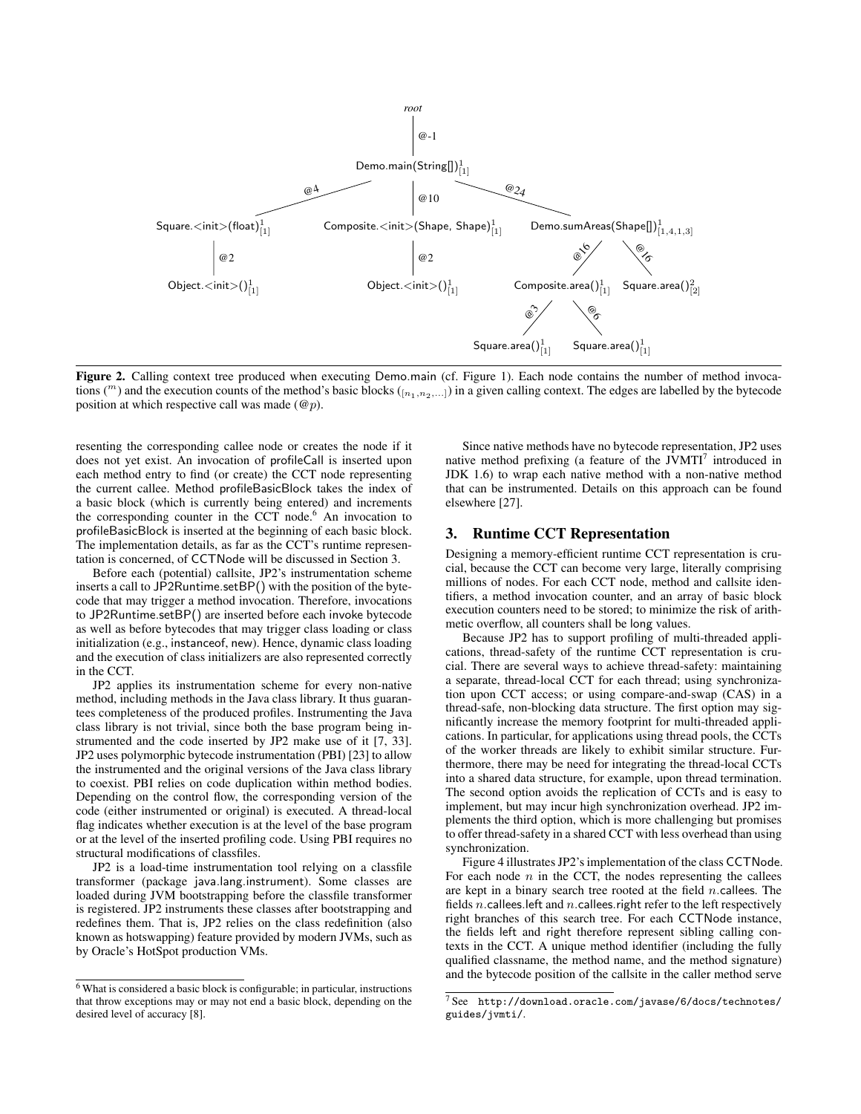

Figure 2. Calling context tree produced when executing Demo.main (cf. Figure 1). Each node contains the number of method invocations ( $^m$ ) and the execution counts of the method's basic blocks ( $_{[n_1,n_2,...]}$ ) in a given calling context. The edges are labelled by the bytecode position at which respective call was made ( $@p$ ).

resenting the corresponding callee node or creates the node if it does not yet exist. An invocation of profileCall is inserted upon each method entry to find (or create) the CCT node representing the current callee. Method profileBasicBlock takes the index of a basic block (which is currently being entered) and increments the corresponding counter in the CCT node.<sup>6</sup> An invocation to profileBasicBlock is inserted at the beginning of each basic block. The implementation details, as far as the CCT's runtime representation is concerned, of CCTNode will be discussed in Section 3.

Before each (potential) callsite, JP2's instrumentation scheme inserts a call to JP2Runtime.setBP() with the position of the bytecode that may trigger a method invocation. Therefore, invocations to JP2Runtime.setBP() are inserted before each invoke bytecode as well as before bytecodes that may trigger class loading or class initialization (e.g., instanceof, new). Hence, dynamic class loading and the execution of class initializers are also represented correctly in the CCT.

JP2 applies its instrumentation scheme for every non-native method, including methods in the Java class library. It thus guarantees completeness of the produced profiles. Instrumenting the Java class library is not trivial, since both the base program being instrumented and the code inserted by JP2 make use of it [\[7,](#page-9-18) [33\]](#page-9-19). JP2 uses polymorphic bytecode instrumentation (PBI) [\[23\]](#page-9-20) to allow the instrumented and the original versions of the Java class library to coexist. PBI relies on code duplication within method bodies. Depending on the control flow, the corresponding version of the code (either instrumented or original) is executed. A thread-local flag indicates whether execution is at the level of the base program or at the level of the inserted profiling code. Using PBI requires no structural modifications of classfiles.

JP2 is a load-time instrumentation tool relying on a classfile transformer (package java.lang.instrument). Some classes are loaded during JVM bootstrapping before the classfile transformer is registered. JP2 instruments these classes after bootstrapping and redefines them. That is, JP2 relies on the class redefinition (also known as hotswapping) feature provided by modern JVMs, such as by Oracle's HotSpot production VMs.

Since native methods have no bytecode representation, JP2 uses native method prefixing (a feature of the  $JVMTI<sup>7</sup>$  introduced in JDK 1.6) to wrap each native method with a non-native method that can be instrumented. Details on this approach can be found elsewhere [\[27\]](#page-9-16).

## 3. Runtime CCT Representation

Designing a memory-efficient runtime CCT representation is crucial, because the CCT can become very large, literally comprising millions of nodes. For each CCT node, method and callsite identifiers, a method invocation counter, and an array of basic block execution counters need to be stored; to minimize the risk of arithmetic overflow, all counters shall be long values.

Because JP2 has to support profiling of multi-threaded applications, thread-safety of the runtime CCT representation is crucial. There are several ways to achieve thread-safety: maintaining a separate, thread-local CCT for each thread; using synchronization upon CCT access; or using compare-and-swap (CAS) in a thread-safe, non-blocking data structure. The first option may significantly increase the memory footprint for multi-threaded applications. In particular, for applications using thread pools, the CCTs of the worker threads are likely to exhibit similar structure. Furthermore, there may be need for integrating the thread-local CCTs into a shared data structure, for example, upon thread termination. The second option avoids the replication of CCTs and is easy to implement, but may incur high synchronization overhead. JP2 implements the third option, which is more challenging but promises to offer thread-safety in a shared CCT with less overhead than using synchronization.

Figure 4 illustrates JP2's implementation of the class CCTNode. For each node  $n$  in the CCT, the nodes representing the callees are kept in a binary search tree rooted at the field  $n$  callees. The fields  $n$  callees. left and  $n$  callees right refer to the left respectively right branches of this search tree. For each CCTNode instance, the fields left and right therefore represent sibling calling contexts in the CCT. A unique method identifier (including the fully qualified classname, the method name, and the method signature) and the bytecode position of the callsite in the caller method serve

<sup>6</sup> What is considered a basic block is configurable; in particular, instructions that throw exceptions may or may not end a basic block, depending on the desired level of accuracy [\[8\]](#page-9-10).

 $7$  See [http://download.oracle.com/javase/6/docs/technotes/](http://download.oracle.com/javase/6/docs/technotes/guides/jvmti/) [guides/jvmti/](http://download.oracle.com/javase/6/docs/technotes/guides/jvmti/).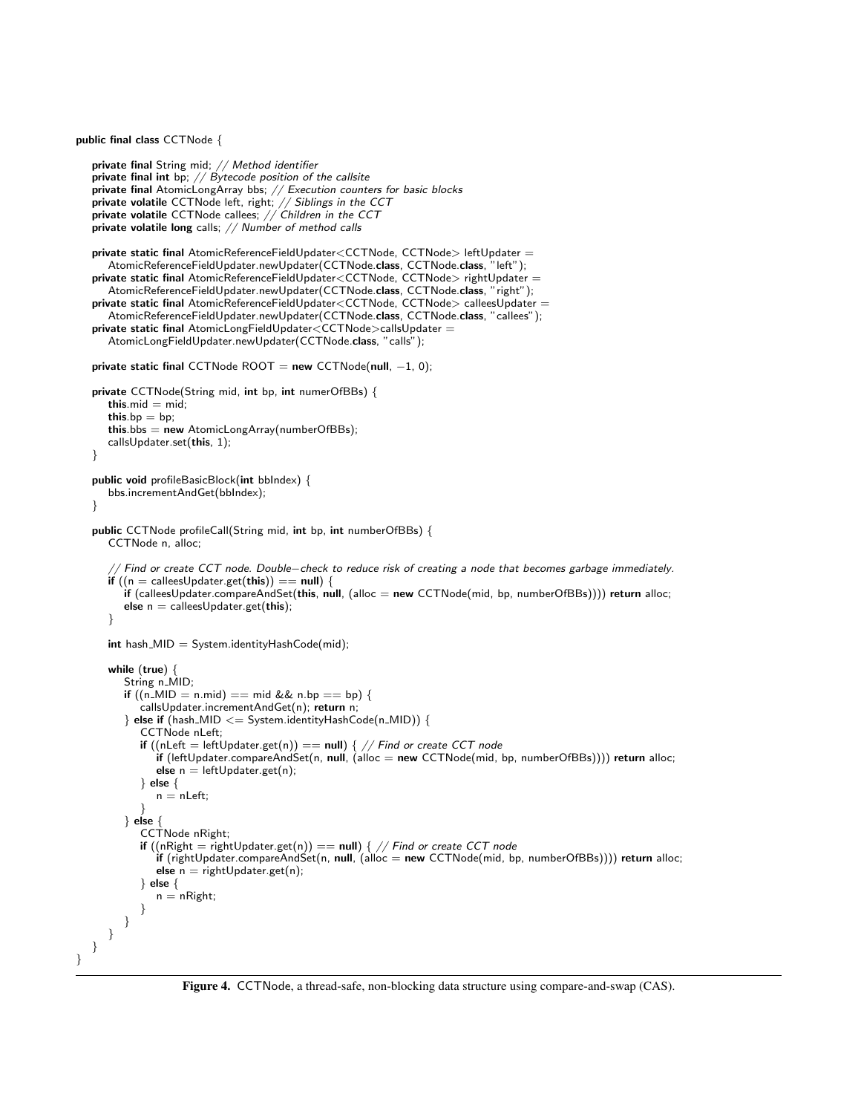public final class CCTNode {

}

```
private final String mid; // Method identifier
private final int bp; // Bytecode position of the callsite
private final AtomicLongArray bbs; // Execution counters for basic blocks
private volatile CCTNode left, right; // Siblings in the CCT
private volatile CCTNode callees; // Children in the CCT
private volatile long calls; // Number of method calls
private static final AtomicReferenceFieldUpdater<CCTNode, CCTNode> leftUpdater =
   AtomicReferenceFieldUpdater.newUpdater(CCTNode.class, CCTNode.class, "left");
private static final AtomicReferenceFieldUpdater<CCTNode, CCTNode> rightUpdater =
   AtomicReferenceFieldUpdater.newUpdater(CCTNode.class, CCTNode.class, "right");
private static final AtomicReferenceFieldUpdater<CCTNode, CCTNode> calleesUpdater =
   AtomicReferenceFieldUpdater.newUpdater(CCTNode.class, CCTNode.class, "callees");
private static final AtomicLongFieldUpdater<CCTNode>callsUpdater =AtomicLongFieldUpdater.newUpdater(CCTNode.class, "calls");
private static final CCTNode ROOT = new CCTNode(null, -1, 0);
private CCTNode(String mid, int bp, int numerOfBBs) {
   this.mid = mid;
   this.bp = bp:
   this.bbs = new AtomicLongArray(numberOfBBs);
  callsUpdater.set(this, 1);
}
public void profileBasicBlock(int bbIndex) {
   bbs.incrementAndGet(bbIndex);
}
public CCTNode profileCall(String mid, int bp, int numberOfBBs) {
   CCTNode n, alloc;
   // Find or create CCT node. Double−check to reduce risk of creating a node that becomes garbage immediately.
  \overrightarrow{if} ((n = calleesUpdater.get(this)) == null) {
      if (calleesUpdater.compareAndSet(this, null, (alloc = new CCTNode(mid, bp, numberOfBBs)))) return alloc;
      else n = calleesUpdater.get(this);
   }
  int hash_MID = System.identityHashCode(mid);
   while (true)String n_MID;
      if ((n\_MID = n.mid) == mid & & n.bp == bp)callsUpdater.incrementAndGet(n); return n;
      \} else if (hash_MID <= System.identityHashCode(n_MID)) {
         CCTNode nLeft;
         if ((nLeft = leftUpdater.get(n)) == null) { // Find or create CCT node
            if (leftUpdater.compareAndSet(n, null, (alloc = new CCTNode(mid, bp, numberOfBBs)))) return alloc;
            else n = leftUpdate.get(n);} else {
            n = nLeft;}
      } else {
         CCTNode nRight;
         if ((nRight = rightUpdater.get(n)) == null) { // Find or create CCT node
            if (rightUpdater.compareAndSet(n, null, (alloc = new CCTNode(mid, bp, numberOfBBs)))) return alloc;
            else n = rightUpdater.get(n);} else {
            n = nRight;}
      }
   }
}
```
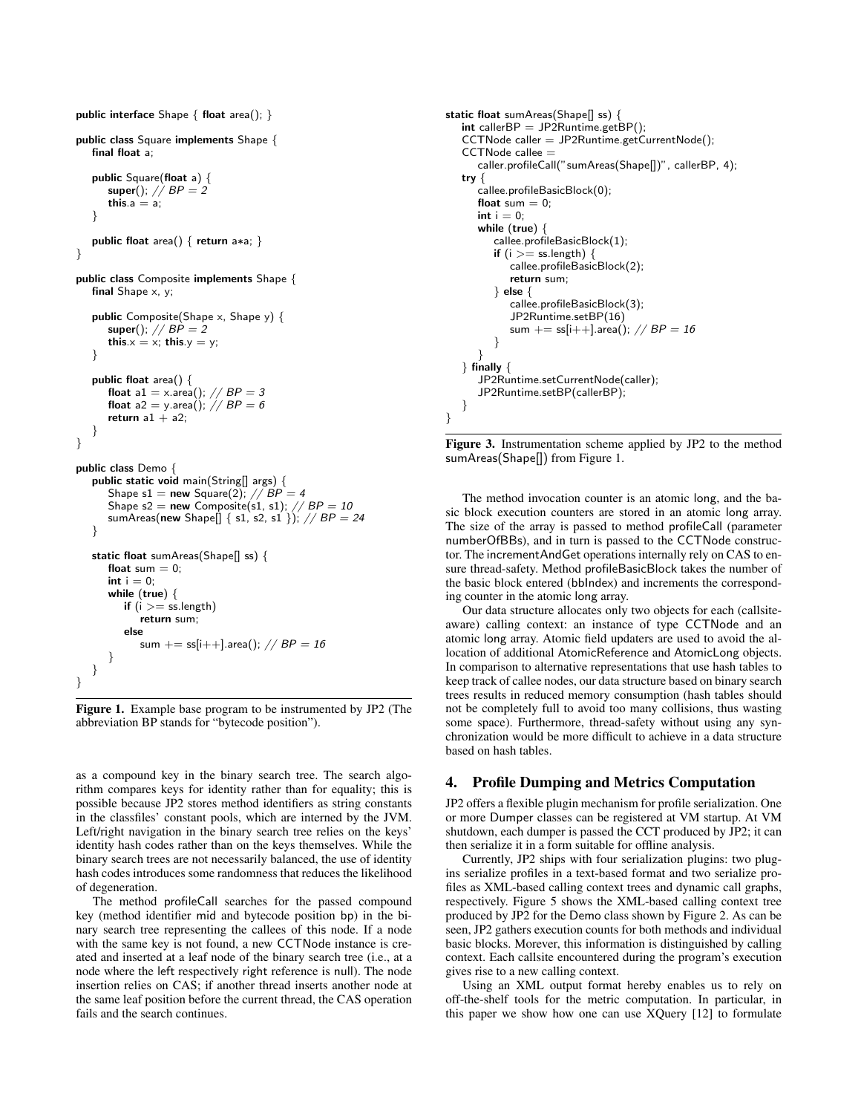```
public interface Shape { float area(); }
public class Square implements Shape {
   final float a;
   public Square(float a) {
      super(); // BP = 2this.a = a;
   }
   public float area() { return a∗a; }
}
public class Composite implements Shape {
   final Shape x, y;
   public Composite(Shape x, Shape y) {
      super(); // BP = 2this.x = x; this.y = y;
   }
   public float area() {
      float a1 = x \cdot a \cdot a (); // BP = 3float a2 = y.area(); \frac{1}{7} BP = 6
      return a1 + a2;
   }
}
public class Demo {
   public static void main(String[] args) {
      Shape s1 = new Square(2); // BP = 4
      Shape s2 = new Composite(s1, s1); // BP = 10sumAreas(new Shape[] \{ s1, s2, s1 \}); // BP = 24}
   static float sumAreas(Shape[] ss) {
      float sum = 0:
      int i = 0;
      while (true) {
         if (i >= s.length)return sum;
         else
             sum += ss[i++].area(); // BP = 16}
   }
}
```
Figure 1. Example base program to be instrumented by JP2 (The abbreviation BP stands for "bytecode position").

as a compound key in the binary search tree. The search algorithm compares keys for identity rather than for equality; this is possible because JP2 stores method identifiers as string constants in the classfiles' constant pools, which are interned by the JVM. Left/right navigation in the binary search tree relies on the keys' identity hash codes rather than on the keys themselves. While the binary search trees are not necessarily balanced, the use of identity hash codes introduces some randomness that reduces the likelihood of degeneration.

The method profileCall searches for the passed compound key (method identifier mid and bytecode position bp) in the binary search tree representing the callees of this node. If a node with the same key is not found, a new CCTNode instance is created and inserted at a leaf node of the binary search tree (i.e., at a node where the left respectively right reference is null). The node insertion relies on CAS; if another thread inserts another node at the same leaf position before the current thread, the CAS operation fails and the search continues.

```
static float sumAreas(Shape[] ss) {
   int callerBP = JP2Runtime.getBP():
   CCTNode caller = JP2Runtime.getCurrentNode();
   CCTNode callee =
      caller.profileCall("sumAreas(Shape[])", callerBP, 4);
   try {
      callee.profileBasicBlock(0);
      float sum = 0;
      int i = 0;
      while (true) {
         callee.profileBasicBlock(1);
         if (i >= ss.length) {
             callee.profileBasicBlock(2);
            return sum;
         } else {
             callee.profileBasicBlock(3);
             JP2Runtime.setBP(16)
             sum += ss[i++].area(); // BP = 16}
      }
   } finally {
      JP2Runtime.setCurrentNode(caller);
      JP2Runtime.setBP(callerBP);
   }
}
```
Figure 3. Instrumentation scheme applied by JP2 to the method sumAreas(Shape[]) from Figure 1.

The method invocation counter is an atomic long, and the basic block execution counters are stored in an atomic long array. The size of the array is passed to method profileCall (parameter numberOfBBs), and in turn is passed to the CCTNode constructor. The incrementAndGet operations internally rely on CAS to ensure thread-safety. Method profileBasicBlock takes the number of the basic block entered (bbIndex) and increments the corresponding counter in the atomic long array.

Our data structure allocates only two objects for each (callsiteaware) calling context: an instance of type CCTNode and an atomic long array. Atomic field updaters are used to avoid the allocation of additional AtomicReference and AtomicLong objects. In comparison to alternative representations that use hash tables to keep track of callee nodes, our data structure based on binary search trees results in reduced memory consumption (hash tables should not be completely full to avoid too many collisions, thus wasting some space). Furthermore, thread-safety without using any synchronization would be more difficult to achieve in a data structure based on hash tables.

## 4. Profile Dumping and Metrics Computation

JP2 offers a flexible plugin mechanism for profile serialization. One or more Dumper classes can be registered at VM startup. At VM shutdown, each dumper is passed the CCT produced by JP2; it can then serialize it in a form suitable for offline analysis.

Currently, JP2 ships with four serialization plugins: two plugins serialize profiles in a text-based format and two serialize profiles as XML-based calling context trees and dynamic call graphs, respectively. Figure 5 shows the XML-based calling context tree produced by JP2 for the Demo class shown by Figure 2. As can be seen, JP2 gathers execution counts for both methods and individual basic blocks. Morever, this information is distinguished by calling context. Each callsite encountered during the program's execution gives rise to a new calling context.

Using an XML output format hereby enables us to rely on off-the-shelf tools for the metric computation. In particular, in this paper we show how one can use XQuery [\[12\]](#page-9-13) to formulate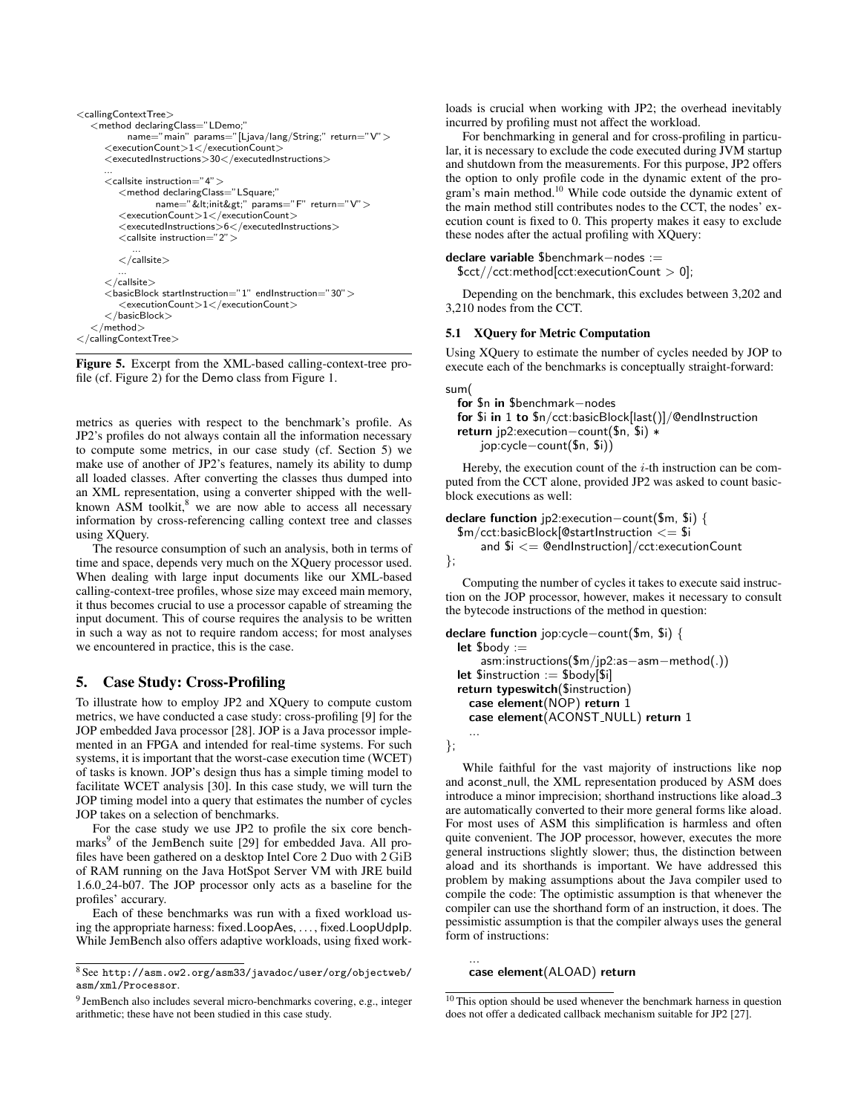```
<callingContextTree>
   <method declaringClass="LDemo;"
          name="main" params="[Ljava/lang/String;" return="V">
      <executionCount>1</executionCount><executedInstructions>30</executedInstructions>
      ...
      <callsite instruction="4">
         <method declaringClass="LSquare;"
                name="&It;init>" params="F" return="V">
         <executionCount>1</executionCount><executedInstructions>6</executedInstructions><callsite instruction="2">
            ...
         \langle / callsite >...
      \langle / callsite >\vec{z} < basicBlock startInstruction="1" endInstruction="30">
         <executionCount>1</executionCount>
      </basicBlock></method>\langle / calling Context Tree
```
Figure 5. Excerpt from the XML-based calling-context-tree profile (cf. Figure 2) for the Demo class from Figure 1.

metrics as queries with respect to the benchmark's profile. As JP2's profiles do not always contain all the information necessary to compute some metrics, in our case study (cf. Section 5) we make use of another of JP2's features, namely its ability to dump all loaded classes. After converting the classes thus dumped into an XML representation, using a converter shipped with the wellknown ASM toolkit, $8$  we are now able to access all necessary information by cross-referencing calling context tree and classes using XQuery.

The resource consumption of such an analysis, both in terms of time and space, depends very much on the XQuery processor used. When dealing with large input documents like our XML-based calling-context-tree profiles, whose size may exceed main memory, it thus becomes crucial to use a processor capable of streaming the input document. This of course requires the analysis to be written in such a way as not to require random access; for most analyses we encountered in practice, this is the case.

# 5. Case Study: Cross-Profiling

To illustrate how to employ JP2 and XQuery to compute custom metrics, we have conducted a case study: cross-profiling [\[9\]](#page-9-14) for the JOP embedded Java processor [\[28\]](#page-9-21). JOP is a Java processor implemented in an FPGA and intended for real-time systems. For such systems, it is important that the worst-case execution time (WCET) of tasks is known. JOP's design thus has a simple timing model to facilitate WCET analysis [\[30\]](#page-9-22). In this case study, we will turn the JOP timing model into a query that estimates the number of cycles JOP takes on a selection of benchmarks.

For the case study we use JP2 to profile the six core bench-marks<sup>9</sup> of the JemBench suite [\[29\]](#page-9-23) for embedded Java. All profiles have been gathered on a desktop Intel Core 2 Duo with 2 GiB of RAM running on the Java HotSpot Server VM with JRE build 1.6.0 24-b07. The JOP processor only acts as a baseline for the profiles' accurary.

Each of these benchmarks was run with a fixed workload using the appropriate harness: fixed.LoopAes, . . . , fixed.LoopUdpIp. While JemBench also offers adaptive workloads, using fixed work-

```
8 See http://asm.ow2.org/asm33/javadoc/user/org/objectweb/
asm/xml/Processor.
```
<sup>9</sup> JemBench also includes several micro-benchmarks covering, e.g., integer arithmetic; these have not been studied in this case study.

loads is crucial when working with JP2; the overhead inevitably incurred by profiling must not affect the workload.

For benchmarking in general and for cross-profiling in particular, it is necessary to exclude the code executed during JVM startup and shutdown from the measurements. For this purpose, JP2 offers the option to only profile code in the dynamic extent of the program's main method.<sup>10</sup> While code outside the dynamic extent of the main method still contributes nodes to the CCT, the nodes' execution count is fixed to 0. This property makes it easy to exclude these nodes after the actual profiling with XQuery:

#### declare variable \$benchmark−nodes :=

 $$cct//cct:method[cct:executionCount > 0];$ 

Depending on the benchmark, this excludes between 3,202 and 3,210 nodes from the CCT.

### 5.1 XQuery for Metric Computation

Using XQuery to estimate the number of cycles needed by JOP to execute each of the benchmarks is conceptually straight-forward:

```
sum(
```

```
for $n in $benchmark−nodes
```
for \$i in 1 to \$n/cct:basicBlock[last()]/@endInstruction return jp2:execution−count(\$n, \$i) ∗ jop:cycle−count(\$n, \$i))

Hereby, the execution count of the  $i$ -th instruction can be computed from the CCT alone, provided JP2 was asked to count basicblock executions as well:

```
declare function jp2:execution−count($m, $i) {
```

```
\text{Im}/\text{cct:}basicBlock[@startInstruction \leq = $i
     and i \leq 0endInstruction]/cct:executionCount
```
Computing the number of cycles it takes to execute said instruction on the JOP processor, however, makes it necessary to consult the bytecode instructions of the method in question:

```
declare function jop:cycle−count($m, $i) {
 let $body :=
      asm:instructions($m/jp2:as−asm−method(.))
 let \text{Sinstein} := \text{Sbody}[\text{Si}]return typeswitch($instruction)
    case element(NOP) return 1
    case element(ACONST_NULL) return 1
    ...
```
};

...

};

While faithful for the vast majority of instructions like nop and aconst\_null, the XML representation produced by ASM does introduce a minor imprecision; shorthand instructions like aload 3 are automatically converted to their more general forms like aload. For most uses of ASM this simplification is harmless and often quite convenient. The JOP processor, however, executes the more general instructions slightly slower; thus, the distinction between aload and its shorthands is important. We have addressed this problem by making assumptions about the Java compiler used to compile the code: The optimistic assumption is that whenever the compiler can use the shorthand form of an instruction, it does. The pessimistic assumption is that the compiler always uses the general form of instructions:

case element(ALOAD) return

<sup>&</sup>lt;sup>10</sup> This option should be used whenever the benchmark harness in question does not offer a dedicated callback mechanism suitable for JP2 [\[27\]](#page-9-16).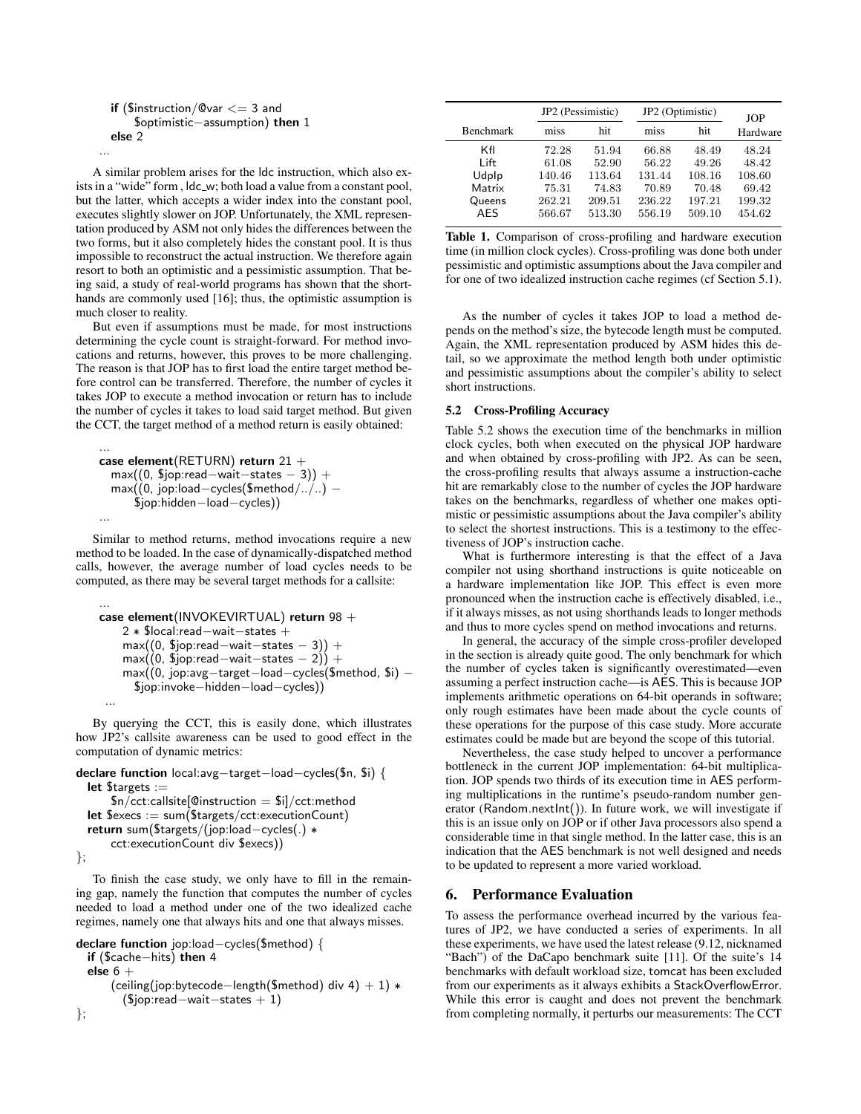|        | if (\$instruction/@var $<=$ 3 and     |
|--------|---------------------------------------|
|        | $$$ optimistic $-$ assumption) then 1 |
| else 2 |                                       |
|        |                                       |

A similar problem arises for the ldc instruction, which also exists in a "wide" form, ldc\_w; both load a value from a constant pool, but the latter, which accepts a wider index into the constant pool, executes slightly slower on JOP. Unfortunately, the XML representation produced by ASM not only hides the differences between the two forms, but it also completely hides the constant pool. It is thus impossible to reconstruct the actual instruction. We therefore again resort to both an optimistic and a pessimistic assumption. That being said, a study of real-world programs has shown that the shorthands are commonly used [\[16\]](#page-9-24); thus, the optimistic assumption is much closer to reality.

But even if assumptions must be made, for most instructions determining the cycle count is straight-forward. For method invocations and returns, however, this proves to be more challenging. The reason is that JOP has to first load the entire target method before control can be transferred. Therefore, the number of cycles it takes JOP to execute a method invocation or return has to include the number of cycles it takes to load said target method. But given the CCT, the target method of a method return is easily obtained:

```
...
case element(RETURN) return 21 +max((0, \text{Sip:read}-wait - states - 3)) +max((0, pop:load-cycles(\text{Smethod}/.../\,.)-$jop:hidden−load−cycles))
...
```
Similar to method returns, method invocations require a new method to be loaded. In the case of dynamically-dispatched method calls, however, the average number of load cycles needs to be computed, as there may be several target methods for a callsite:

```
...
case element(INVOKEVIRTUAL) return 98 +
    2 ∗ $local:read−wait−states +
    max((0, $jop:read–wait–states – 3)) +
    max((0, $jop:read-wait–states - 2)) +max((0, jop:avg−target−load−cycles($method, $i) −
      $jop:invoke−hidden−load−cycles))
 ...
```
By querying the CCT, this is easily done, which illustrates how JP2's callsite awareness can be used to good effect in the computation of dynamic metrics:

```
declare function local:avg−target−load−cycles($n, $i) {
  let $targets :=
       \mathsf{In}/\text{cct:}callsite[@instruction = \frac{1}{2}i]/cct:method
  let \Sigmaexecs := sum(\Sigmatargets/cct:executionCount)
  return sum($targets/(jop:load−cycles(.) ∗
       cct:executionCount div $execs))
};
```
To finish the case study, we only have to fill in the remaining gap, namely the function that computes the number of cycles needed to load a method under one of the two idealized cache regimes, namely one that always hits and one that always misses.

```
declare function jop:load−cycles($method) {
  if ($cache−hits) then 4
  else 6 +(ceiling(jop:bytecode−length($method) div 4) + 1) ∗
        ($jop:read−wait−states + 1)
};
```

|                  | JP2 (Pessimistic) |        | JP2 (Optimistic) | <b>JOP</b> |          |
|------------------|-------------------|--------|------------------|------------|----------|
| <b>Benchmark</b> | miss              | hit    | miss             | hit        | Hardware |
| Kfl              | 72.28             | 51.94  | 66.88            | 48.49      | 48.24    |
| Lift             | 61.08             | 52.90  | 56.22            | 49.26      | 48.42    |
| Udplp            | 140.46            | 113.64 | 131.44           | 108.16     | 108.60   |
| Matrix           | 75.31             | 74.83  | 70.89            | 70.48      | 69.42    |
| Queens           | 262.21            | 209.51 | 236.22           | 197.21     | 199.32   |
| <b>AES</b>       | 566.67            | 513.30 | 556.19           | 509.10     | 454.62   |

Table 1. Comparison of cross-profiling and hardware execution time (in million clock cycles). Cross-profiling was done both under pessimistic and optimistic assumptions about the Java compiler and for one of two idealized instruction cache regimes (cf Section 5.1).

As the number of cycles it takes JOP to load a method depends on the method's size, the bytecode length must be computed. Again, the XML representation produced by ASM hides this detail, so we approximate the method length both under optimistic and pessimistic assumptions about the compiler's ability to select short instructions.

## <span id="page-6-0"></span>5.2 Cross-Profiling Accuracy

Table [5.2](#page-6-0) shows the execution time of the benchmarks in million clock cycles, both when executed on the physical JOP hardware and when obtained by cross-profiling with JP2. As can be seen, the cross-profiling results that always assume a instruction-cache hit are remarkably close to the number of cycles the JOP hardware takes on the benchmarks, regardless of whether one makes optimistic or pessimistic assumptions about the Java compiler's ability to select the shortest instructions. This is a testimony to the effectiveness of JOP's instruction cache.

What is furthermore interesting is that the effect of a Java compiler not using shorthand instructions is quite noticeable on a hardware implementation like JOP. This effect is even more pronounced when the instruction cache is effectively disabled, i.e., if it always misses, as not using shorthands leads to longer methods and thus to more cycles spend on method invocations and returns.

In general, the accuracy of the simple cross-profiler developed in the section is already quite good. The only benchmark for which the number of cycles taken is significantly overestimated—even assuming a perfect instruction cache—is AES. This is because JOP implements arithmetic operations on 64-bit operands in software; only rough estimates have been made about the cycle counts of these operations for the purpose of this case study. More accurate estimates could be made but are beyond the scope of this tutorial.

Nevertheless, the case study helped to uncover a performance bottleneck in the current JOP implementation: 64-bit multiplication. JOP spends two thirds of its execution time in AES performing multiplications in the runtime's pseudo-random number generator (Random.nextInt()). In future work, we will investigate if this is an issue only on JOP or if other Java processors also spend a considerable time in that single method. In the latter case, this is an indication that the AES benchmark is not well designed and needs to be updated to represent a more varied workload.

## 6. Performance Evaluation

To assess the performance overhead incurred by the various features of JP2, we have conducted a series of experiments. In all these experiments, we have used the latest release (9.12, nicknamed "Bach") of the DaCapo benchmark suite [\[11\]](#page-9-2). Of the suite's 14 benchmarks with default workload size, tomcat has been excluded from our experiments as it always exhibits a StackOverflowError. While this error is caught and does not prevent the benchmark from completing normally, it perturbs our measurements: The CCT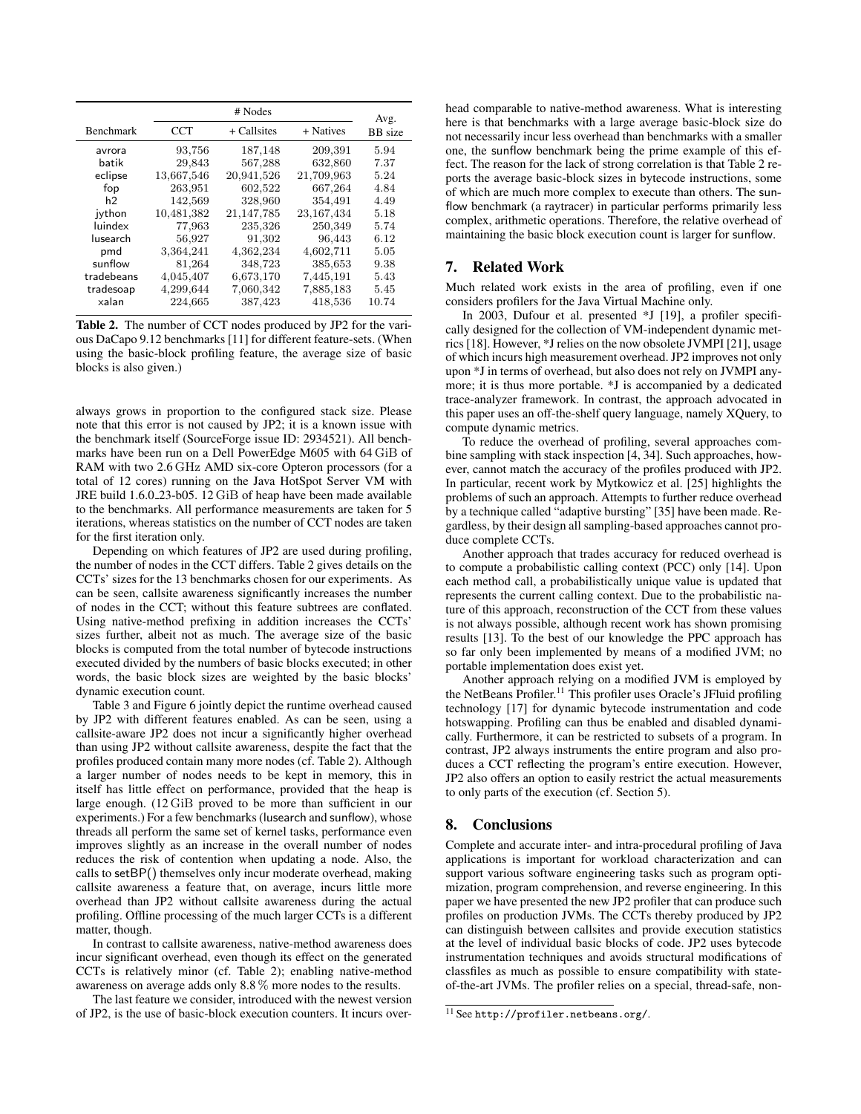|                  |            |               | Avg.         |         |
|------------------|------------|---------------|--------------|---------|
| <b>Benchmark</b> | <b>CCT</b> | $+$ Callsites | + Natives    | BB size |
| avrora           | 93,756     | 187,148       | 209,391      | 5.94    |
| batik            | 29,843     | 567,288       | 632,860      | 7.37    |
| eclipse          | 13,667,546 | 20,941,526    | 21,709,963   | 5.24    |
| fop              | 263,951    | 602,522       | 667,264      | 4.84    |
| h2               | 142,569    | 328,960       | 354.491      | 4.49    |
| ivthon           | 10,481,382 | 21,147,785    | 23, 167, 434 | 5.18    |
| luindex          | 77,963     | 235,326       | 250,349      | 5.74    |
| lusearch         | 56,927     | 91,302        | 96,443       | 6.12    |
| pmd              | 3,364,241  | 4,362,234     | 4,602,711    | 5.05    |
| sunflow          | 81,264     | 348,723       | 385,653      | 9.38    |
| tradebeans       | 4,045,407  | 6,673,170     | 7,445,191    | 5.43    |
| tradesoap        | 4,299,644  | 7,060,342     | 7,885,183    | 5.45    |
| xalan            | 224.665    | 387,423       | 418.536      | 10.74   |

Table 2. The number of CCT nodes produced by JP2 for the various DaCapo 9.12 benchmarks [\[11\]](#page-9-2) for different feature-sets. (When using the basic-block profiling feature, the average size of basic blocks is also given.)

always grows in proportion to the configured stack size. Please note that this error is not caused by JP2; it is a known issue with the benchmark itself (SourceForge issue ID: 2934521). All benchmarks have been run on a Dell PowerEdge M605 with 64 GiB of RAM with two 2.6 GHz AMD six-core Opteron processors (for a total of 12 cores) running on the Java HotSpot Server VM with JRE build 1.6.0 23-b05. 12 GiB of heap have been made available to the benchmarks. All performance measurements are taken for 5 iterations, whereas statistics on the number of CCT nodes are taken for the first iteration only.

Depending on which features of JP2 are used during profiling, the number of nodes in the CCT differs. Table 2 gives details on the CCTs' sizes for the 13 benchmarks chosen for our experiments. As can be seen, callsite awareness significantly increases the number of nodes in the CCT; without this feature subtrees are conflated. Using native-method prefixing in addition increases the CCTs' sizes further, albeit not as much. The average size of the basic blocks is computed from the total number of bytecode instructions executed divided by the numbers of basic blocks executed; in other words, the basic block sizes are weighted by the basic blocks' dynamic execution count.

Table 3 and Figure 6 jointly depict the runtime overhead caused by JP2 with different features enabled. As can be seen, using a callsite-aware JP2 does not incur a significantly higher overhead than using JP2 without callsite awareness, despite the fact that the profiles produced contain many more nodes (cf. Table 2). Although a larger number of nodes needs to be kept in memory, this in itself has little effect on performance, provided that the heap is large enough. (12 GiB proved to be more than sufficient in our experiments.) For a few benchmarks (lusearch and sunflow), whose threads all perform the same set of kernel tasks, performance even improves slightly as an increase in the overall number of nodes reduces the risk of contention when updating a node. Also, the calls to setBP() themselves only incur moderate overhead, making callsite awareness a feature that, on average, incurs little more overhead than JP2 without callsite awareness during the actual profiling. Offline processing of the much larger CCTs is a different matter, though.

In contrast to callsite awareness, native-method awareness does incur significant overhead, even though its effect on the generated CCTs is relatively minor (cf. Table 2); enabling native-method awareness on average adds only 8.8 % more nodes to the results.

The last feature we consider, introduced with the newest version of JP2, is the use of basic-block execution counters. It incurs overhead comparable to native-method awareness. What is interesting here is that benchmarks with a large average basic-block size do not necessarily incur less overhead than benchmarks with a smaller one, the sunflow benchmark being the prime example of this effect. The reason for the lack of strong correlation is that Table 2 reports the average basic-block sizes in bytecode instructions, some of which are much more complex to execute than others. The sunflow benchmark (a raytracer) in particular performs primarily less complex, arithmetic operations. Therefore, the relative overhead of maintaining the basic block execution count is larger for sunflow.

# 7. Related Work

Much related work exists in the area of profiling, even if one considers profilers for the Java Virtual Machine only.

In 2003, Dufour et al. presented \*J [\[19\]](#page-9-1), a profiler specifically designed for the collection of VM-independent dynamic metrics [\[18\]](#page-9-25). However, \*J relies on the now obsolete JVMPI [\[21\]](#page-9-26), usage of which incurs high measurement overhead. JP2 improves not only upon \*J in terms of overhead, but also does not rely on JVMPI anymore; it is thus more portable. \*J is accompanied by a dedicated trace-analyzer framework. In contrast, the approach advocated in this paper uses an off-the-shelf query language, namely XQuery, to compute dynamic metrics.

To reduce the overhead of profiling, several approaches combine sampling with stack inspection [\[4,](#page-9-27) [34\]](#page-9-5). Such approaches, however, cannot match the accuracy of the profiles produced with JP2. In particular, recent work by Mytkowicz et al. [\[25\]](#page-9-28) highlights the problems of such an approach. Attempts to further reduce overhead by a technique called "adaptive bursting" [\[35\]](#page-9-6) have been made. Regardless, by their design all sampling-based approaches cannot produce complete CCTs.

Another approach that trades accuracy for reduced overhead is to compute a probabilistic calling context (PCC) only [\[14\]](#page-9-29). Upon each method call, a probabilistically unique value is updated that represents the current calling context. Due to the probabilistic nature of this approach, reconstruction of the CCT from these values is not always possible, although recent work has shown promising results [\[13\]](#page-9-30). To the best of our knowledge the PPC approach has so far only been implemented by means of a modified JVM; no portable implementation does exist yet.

Another approach relying on a modified JVM is employed by the NetBeans Profiler.<sup>11</sup> This profiler uses Oracle's JFluid profiling technology [\[17\]](#page-9-31) for dynamic bytecode instrumentation and code hotswapping. Profiling can thus be enabled and disabled dynamically. Furthermore, it can be restricted to subsets of a program. In contrast, JP2 always instruments the entire program and also produces a CCT reflecting the program's entire execution. However, JP2 also offers an option to easily restrict the actual measurements to only parts of the execution (cf. Section 5).

# 8. Conclusions

Complete and accurate inter- and intra-procedural profiling of Java applications is important for workload characterization and can support various software engineering tasks such as program optimization, program comprehension, and reverse engineering. In this paper we have presented the new JP2 profiler that can produce such profiles on production JVMs. The CCTs thereby produced by JP2 can distinguish between callsites and provide execution statistics at the level of individual basic blocks of code. JP2 uses bytecode instrumentation techniques and avoids structural modifications of classfiles as much as possible to ensure compatibility with stateof-the-art JVMs. The profiler relies on a special, thread-safe, non-

<sup>11</sup> See <http://profiler.netbeans.org/>.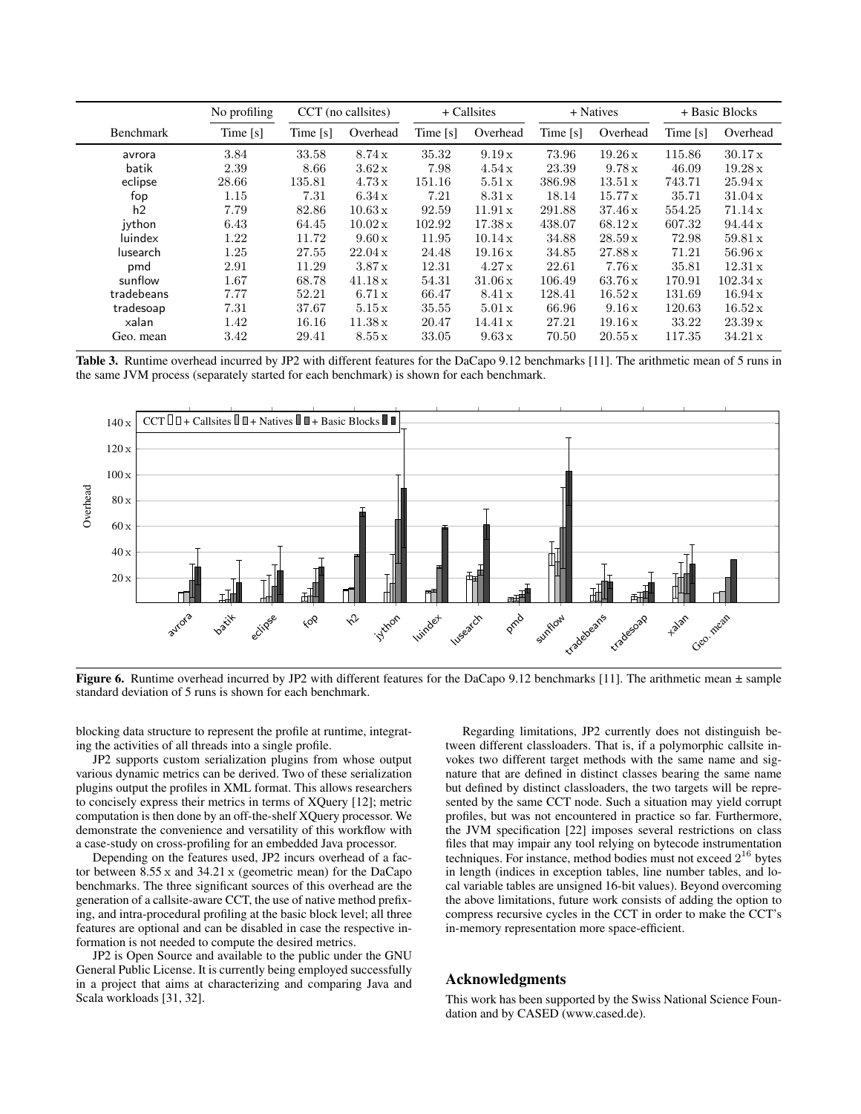|                  | No profiling | CCT (no callsites) |                     | + Callsites |                     | + Natives  |                     | + Basic Blocks |                     |
|------------------|--------------|--------------------|---------------------|-------------|---------------------|------------|---------------------|----------------|---------------------|
| <b>Benchmark</b> | Time $[s]$   | Time $[s]$         | Overhead            | Time $[s]$  | Overhead            | Time $[s]$ | Overhead            | Time [s]       | Overhead            |
| avrora           | 3.84         | 33.58              | 8.74x               | 35.32       | 9.19x               | 73.96      | 19.26x              | 115.86         | 30.17x              |
| batik            | 2.39         | 8.66               | $3.62\,\mathrm{x}$  | 7.98        | 4.54x               | 23.39      | 9.78x               | 46.09          | $19.28\,\mathrm{x}$ |
| eclipse          | 28.66        | 135.81             | 4.73x               | 151.16      | 5.51x               | 386.98     | $13.51\,\mathrm{x}$ | 743.71         | 25.94x              |
| fop              | 1.15         | 7.31               | 6.34x               | 7.21        | 8.31 x              | 18.14      | $15.77 \times$      | 35.71          | 31.04x              |
| h2               | 7.79         | 82.86              | $10.63\,\mathrm{x}$ | 92.59       | 11.91x              | 291.88     | $37.46\,\mathrm{x}$ | 554.25         | 71.14x              |
| ivthon           | 6.43         | 64.45              | $10.02\,\mathrm{x}$ | 102.92      | $17.38\,\mathrm{x}$ | 438.07     | $68.12 \text{ x}$   | 607.32         | 94.44 x             |
| luindex          | 1.22         | 11.72              | 9.60x               | 11.95       | 10.14x              | 34.88      | 28.59x              | 72.98          | $59.81\,\mathrm{x}$ |
| lusearch         | 1.25         | 27.55              | 22.04x              | 24.48       | 19.16x              | 34.85      | $27.88\,\mathrm{x}$ | 71.21          | $56.96\,\mathrm{x}$ |
| pmd              | 2.91         | 11.29              | 3.87x               | 12.31       | 4.27x               | 22.61      | 7.76x               | 35.81          | $12.31\,\mathrm{x}$ |
| sunflow          | 1.67         | 68.78              | 41.18x              | 54.31       | $31.06\,\mathrm{x}$ | 106.49     | 63.76x              | 170.91         | 102.34 x            |
| tradebeans       | 7.77         | 52.21              | $6.71\,\mathrm{x}$  | 66.47       | 8.41x               | 128.41     | $16.52\,\mathrm{x}$ | 131.69         | 16.94 x             |
| tradesoap        | 7.31         | 37.67              | 5.15x               | 35.55       | $5.01\,\mathrm{x}$  | 66.96      | 9.16x               | 120.63         | $16.52\,\mathrm{x}$ |
| xalan            | 1.42         | 16.16              | 11.38x              | 20.47       | 14.41x              | 27.21      | 19.16x              | 33.22          | 23.39x              |
| Geo. mean        | 3.42         | 29.41              | $8.55 \text{ x}$    | 33.05       | $9.63\,\mathrm{x}$  | 70.50      | 20.55x              | 117.35         | 34.21x              |

Table 3. Runtime overhead incurred by JP2 with different features for the DaCapo 9.12 benchmarks [\[11\]](#page-9-2). The arithmetic mean of 5 runs in the same JVM process (separately started for each benchmark) is shown for each benchmark.



Figure 6. Runtime overhead incurred by JP2 with different features for the DaCapo 9.12 benchmarks [\[11\]](#page-9-2). The arithmetic mean ± sample standard deviation of 5 runs is shown for each benchmark.

blocking data structure to represent the profile at runtime, integrating the activities of all threads into a single profile.

JP2 supports custom serialization plugins from whose output various dynamic metrics can be derived. Two of these serialization plugins output the profiles in XML format. This allows researchers to concisely express their metrics in terms of XQuery [\[12\]](#page-9-13); metric computation is then done by an off-the-shelf XQuery processor. We demonstrate the convenience and versatility of this workflow with a case-study on cross-profiling for an embedded Java processor.

Depending on the features used, JP2 incurs overhead of a factor between  $8.55 x$  and  $34.21 x$  (geometric mean) for the DaCapo benchmarks. The three significant sources of this overhead are the generation of a callsite-aware CCT, the use of native method prefixing, and intra-procedural profiling at the basic block level; all three features are optional and can be disabled in case the respective information is not needed to compute the desired metrics.

JP2 is Open Source and available to the public under the GNU General Public License. It is currently being employed successfully in a project that aims at characterizing and comparing Java and Scala workloads [\[31,](#page-9-32) [32\]](#page-9-33).

Regarding limitations, JP2 currently does not distinguish between different classloaders. That is, if a polymorphic callsite invokes two different target methods with the same name and signature that are defined in distinct classes bearing the same name but defined by distinct classloaders, the two targets will be represented by the same CCT node. Such a situation may yield corrupt profiles, but was not encountered in practice so far. Furthermore, the JVM specification [\[22\]](#page-9-34) imposes several restrictions on class files that may impair any tool relying on bytecode instrumentation techniques. For instance, method bodies must not exceed  $2^{16}$  bytes in length (indices in exception tables, line number tables, and local variable tables are unsigned 16-bit values). Beyond overcoming the above limitations, future work consists of adding the option to compress recursive cycles in the CCT in order to make the CCT's in-memory representation more space-efficient.

## Acknowledgments

This work has been supported by the Swiss National Science Foundation and by CASED [\(www.cased.de\)](http://www.cased.de/).